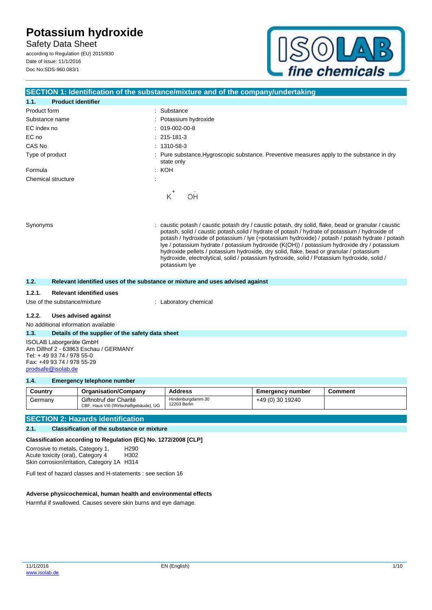Safety Data Sheet according to Regulation (EU) 2015/830 Date of issue: 11/1/2016

Doc No:SDS-960.083/1



| SECTION 1: Identification of the substance/mixture and of the company/undertaking |                                                                                                                                                                                                                                                                                                                                                                                                                                                                                                                                                                                                                     |  |
|-----------------------------------------------------------------------------------|---------------------------------------------------------------------------------------------------------------------------------------------------------------------------------------------------------------------------------------------------------------------------------------------------------------------------------------------------------------------------------------------------------------------------------------------------------------------------------------------------------------------------------------------------------------------------------------------------------------------|--|
| <b>Product identifier</b><br>1.1.                                                 |                                                                                                                                                                                                                                                                                                                                                                                                                                                                                                                                                                                                                     |  |
| Product form                                                                      | : Substance                                                                                                                                                                                                                                                                                                                                                                                                                                                                                                                                                                                                         |  |
| Substance name                                                                    | : Potassium hydroxide                                                                                                                                                                                                                                                                                                                                                                                                                                                                                                                                                                                               |  |
| EC index no                                                                       | $: 019-002-00-8$                                                                                                                                                                                                                                                                                                                                                                                                                                                                                                                                                                                                    |  |
| EC no                                                                             | $: 215 - 181 - 3$                                                                                                                                                                                                                                                                                                                                                                                                                                                                                                                                                                                                   |  |
| CAS No                                                                            | $: 1310 - 58 - 3$                                                                                                                                                                                                                                                                                                                                                                                                                                                                                                                                                                                                   |  |
| Type of product                                                                   | : Pure substance, Hygroscopic substance. Preventive measures apply to the substance in dry<br>state only                                                                                                                                                                                                                                                                                                                                                                                                                                                                                                            |  |
| Formula                                                                           | : КОН                                                                                                                                                                                                                                                                                                                                                                                                                                                                                                                                                                                                               |  |
| Chemical structure                                                                |                                                                                                                                                                                                                                                                                                                                                                                                                                                                                                                                                                                                                     |  |
|                                                                                   | K<br>OH                                                                                                                                                                                                                                                                                                                                                                                                                                                                                                                                                                                                             |  |
| Synonyms                                                                          | caustic potash / caustic potash dry / caustic potash, dry solid, flake, bead or granular / caustic<br>potash, solid / caustic potash, solid / hydrate of potash / hydrate of potassium / hydroxide of<br>potash / hydroxide of potassium / lye (=potassium hydroxide) / potash / potash hydrate / potash<br>lye / potassium hydrate / potassium hydroxide (K(OH)) / potassium hydroxide dry / potassium<br>hydroxide pellets / potassium hydroxide, dry solid, flake, bead or granular / potassium<br>hydroxide, electrolytical, solid / potassium hydroxide, solid / Potassium hydroxide, solid /<br>potassium lye |  |
| 1.2.                                                                              | Relevant identified uses of the substance or mixture and uses advised against                                                                                                                                                                                                                                                                                                                                                                                                                                                                                                                                       |  |
|                                                                                   |                                                                                                                                                                                                                                                                                                                                                                                                                                                                                                                                                                                                                     |  |

#### **1.2.1. Relevant identified uses**

Use of the substance/mixture : Laboratory chemical

#### **1.2.2. Uses advised against**

No additional information available

#### **1.3. Details of the supplier of the safety data sheet**

ISOLAB Laborgeräte GmbH Am Dillhof 2 - 63863 Eschau / GERMANY Tel: + 49 93 74 / 978 55-0 Fax: +49 93 74 / 978 55-29 [prodsafe@isolab.de](mailto:prodsafe@isolab.de)

#### **1.4. Emergency telephone number**

| Country | <b>Organisation/Company</b>                                      | Address                           | <b>Emergency number</b> | Comment |
|---------|------------------------------------------------------------------|-----------------------------------|-------------------------|---------|
| Germany | Giftnotruf der Charité<br>CBF, Haus VIII (Wirtschaftgebäude), UG | Hindenburgdamm 30<br>12203 Berlin | +49 (0) 30 19240        |         |

### **SECTION 2: Hazards identification**

#### **2.1. Classification of the substance or mixture**

**Classification according to Regulation (EC) No. 1272/2008 [CLP]**

Corrosive to metals, Category 1, Acute toxicity (oral), Category 4 H290 H302 Skin corrosion/irritation, Category 1A H314

Full text of hazard classes and H-statements : see section 16

#### **Adverse physicochemical, human health and environmental effects**

Harmful if swallowed. Causes severe skin burns and eye damage.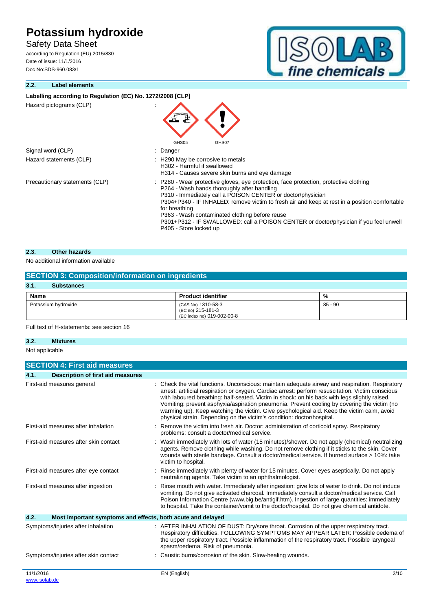Safety Data Sheet

according to Regulation (EU) 2015/830 Date of issue: 11/1/2016 Doc No:SDS-960.083/1

## **2.2. Label elements**



| Labelling according to Regulation (EC) No. 1272/2008 [CLP] |                                                                                                                                                                                                                                                                                                                                                                                                                                                                                            |
|------------------------------------------------------------|--------------------------------------------------------------------------------------------------------------------------------------------------------------------------------------------------------------------------------------------------------------------------------------------------------------------------------------------------------------------------------------------------------------------------------------------------------------------------------------------|
| Hazard pictograms (CLP)                                    |                                                                                                                                                                                                                                                                                                                                                                                                                                                                                            |
| Signal word (CLP)                                          | GHS05<br>GHS07<br>: Danger                                                                                                                                                                                                                                                                                                                                                                                                                                                                 |
| Hazard statements (CLP)                                    | : H290 May be corrosive to metals<br>H302 - Harmful if swallowed<br>H314 - Causes severe skin burns and eye damage                                                                                                                                                                                                                                                                                                                                                                         |
| Precautionary statements (CLP)                             | : P280 - Wear protective gloves, eye protection, face protection, protective clothing<br>P264 - Wash hands thoroughly after handling<br>P310 - Immediately call a POISON CENTER or doctor/physician<br>P304+P340 - IF INHALED: remove victim to fresh air and keep at rest in a position comfortable<br>for breathing<br>P363 - Wash contaminated clothing before reuse<br>P301+P312 - IF SWALLOWED: call a POISON CENTER or doctor/physician if you feel unwell<br>P405 - Store locked up |

### **2.3. Other hazards**

### No additional information available

| <b>SECTION 3: Composition/information on ingredients</b> |                                                                       |           |
|----------------------------------------------------------|-----------------------------------------------------------------------|-----------|
| 3.1.<br><b>Substances</b>                                |                                                                       |           |
| Name                                                     | <b>Product identifier</b>                                             | %         |
| Potassium hydroxide                                      | (CAS No) 1310-58-3<br>(EC no) 215-181-3<br>(EC index no) 019-002-00-8 | $85 - 90$ |

Full text of H-statements: see section 16

#### **3.2. Mixtures**

Not applicable

|           | <b>SECTION 4: First aid measures</b>                        |                                                                                                                                                                                                                                                                                                                                                                                                                                                                                                                                                                            |
|-----------|-------------------------------------------------------------|----------------------------------------------------------------------------------------------------------------------------------------------------------------------------------------------------------------------------------------------------------------------------------------------------------------------------------------------------------------------------------------------------------------------------------------------------------------------------------------------------------------------------------------------------------------------------|
| 4.1.      | <b>Description of first aid measures</b>                    |                                                                                                                                                                                                                                                                                                                                                                                                                                                                                                                                                                            |
|           | First-aid measures general                                  | Check the vital functions. Unconscious: maintain adequate airway and respiration. Respiratory<br>arrest: artificial respiration or oxygen. Cardiac arrest: perform resuscitation. Victim conscious<br>with laboured breathing: half-seated. Victim in shock: on his back with legs slightly raised.<br>Vomiting: prevent asphyxia/aspiration pneumonia. Prevent cooling by covering the victim (no<br>warming up). Keep watching the victim. Give psychological aid. Keep the victim calm, avoid<br>physical strain. Depending on the victim's condition: doctor/hospital. |
|           | First-aid measures after inhalation                         | Remove the victim into fresh air. Doctor: administration of corticoid spray. Respiratory<br>problems: consult a doctor/medical service.                                                                                                                                                                                                                                                                                                                                                                                                                                    |
|           | First-aid measures after skin contact                       | Wash immediately with lots of water (15 minutes)/shower. Do not apply (chemical) neutralizing<br>agents. Remove clothing while washing. Do not remove clothing if it sticks to the skin. Cover<br>wounds with sterile bandage. Consult a doctor/medical service. If burned surface > 10%: take<br>victim to hospital.                                                                                                                                                                                                                                                      |
|           | First-aid measures after eye contact                        | Rinse immediately with plenty of water for 15 minutes. Cover eyes aseptically. Do not apply<br>neutralizing agents. Take victim to an ophthalmologist.                                                                                                                                                                                                                                                                                                                                                                                                                     |
|           | First-aid measures after ingestion                          | Rinse mouth with water. Immediately after ingestion: give lots of water to drink. Do not induce<br>vomiting. Do not give activated charcoal. Immediately consult a doctor/medical service. Call<br>Poison Information Centre (www.big.be/antigif.htm). Ingestion of large quantities: immediately<br>to hospital. Take the container/vomit to the doctor/hospital. Do not give chemical antidote.                                                                                                                                                                          |
| 4.2.      | Most important symptoms and effects, both acute and delayed |                                                                                                                                                                                                                                                                                                                                                                                                                                                                                                                                                                            |
|           | Symptoms/injuries after inhalation                          | : AFTER INHALATION OF DUST: Dry/sore throat. Corrosion of the upper respiratory tract.<br>Respiratory difficulties. FOLLOWING SYMPTOMS MAY APPEAR LATER: Possible oedema of<br>the upper respiratory tract. Possible inflammation of the respiratory tract. Possible laryngeal<br>spasm/oedema. Risk of pneumonia.                                                                                                                                                                                                                                                         |
|           | Symptoms/injuries after skin contact                        | Caustic burns/corrosion of the skin. Slow-healing wounds.                                                                                                                                                                                                                                                                                                                                                                                                                                                                                                                  |
| 11/1/2016 |                                                             | EN (English)<br>2/10                                                                                                                                                                                                                                                                                                                                                                                                                                                                                                                                                       |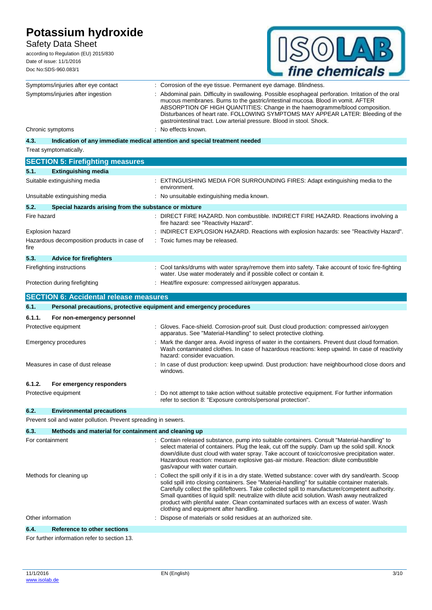Safety Data Sheet

according to Regulation (EU) 2015/830 Date of issue: 11/1/2016 Doc No:SDS-960.083/1



|                                              | Symptoms/injuries after eye contact                                 | : Corrosion of the eye tissue. Permanent eye damage. Blindness.                                                                                                                                                                                                                                                                                                                                                                                                                                                                                |  |
|----------------------------------------------|---------------------------------------------------------------------|------------------------------------------------------------------------------------------------------------------------------------------------------------------------------------------------------------------------------------------------------------------------------------------------------------------------------------------------------------------------------------------------------------------------------------------------------------------------------------------------------------------------------------------------|--|
| Symptoms/injuries after ingestion            |                                                                     | Abdominal pain. Difficulty in swallowing. Possible esophageal perforation. Irritation of the oral<br>mucous membranes. Burns to the gastric/intestinal mucosa. Blood in vomit. AFTER<br>ABSORPTION OF HIGH QUANTITIES: Change in the haemogramme/blood composition.<br>Disturbances of heart rate. FOLLOWING SYMPTOMS MAY APPEAR LATER: Bleeding of the<br>gastrointestinal tract. Low arterial pressure. Blood in stool. Shock.                                                                                                               |  |
|                                              | Chronic symptoms                                                    | No effects known.                                                                                                                                                                                                                                                                                                                                                                                                                                                                                                                              |  |
| 4.3.                                         |                                                                     | Indication of any immediate medical attention and special treatment needed                                                                                                                                                                                                                                                                                                                                                                                                                                                                     |  |
|                                              | Treat symptomatically.                                              |                                                                                                                                                                                                                                                                                                                                                                                                                                                                                                                                                |  |
|                                              | <b>SECTION 5: Firefighting measures</b>                             |                                                                                                                                                                                                                                                                                                                                                                                                                                                                                                                                                |  |
| 5.1.                                         | <b>Extinguishing media</b>                                          |                                                                                                                                                                                                                                                                                                                                                                                                                                                                                                                                                |  |
|                                              | Suitable extinguishing media                                        | : EXTINGUISHING MEDIA FOR SURROUNDING FIRES: Adapt extinguishing media to the<br>environment.                                                                                                                                                                                                                                                                                                                                                                                                                                                  |  |
|                                              | Unsuitable extinguishing media                                      | : No unsuitable extinguishing media known.                                                                                                                                                                                                                                                                                                                                                                                                                                                                                                     |  |
| 5.2.                                         | Special hazards arising from the substance or mixture               |                                                                                                                                                                                                                                                                                                                                                                                                                                                                                                                                                |  |
| Fire hazard                                  |                                                                     | : DIRECT FIRE HAZARD. Non combustible. INDIRECT FIRE HAZARD. Reactions involving a<br>fire hazard: see "Reactivity Hazard".                                                                                                                                                                                                                                                                                                                                                                                                                    |  |
|                                              | Explosion hazard                                                    | INDIRECT EXPLOSION HAZARD. Reactions with explosion hazards: see "Reactivity Hazard".                                                                                                                                                                                                                                                                                                                                                                                                                                                          |  |
| fire                                         | Hazardous decomposition products in case of                         | : Toxic fumes may be released.                                                                                                                                                                                                                                                                                                                                                                                                                                                                                                                 |  |
| 5.3.                                         | <b>Advice for firefighters</b>                                      |                                                                                                                                                                                                                                                                                                                                                                                                                                                                                                                                                |  |
|                                              | Firefighting instructions                                           | : Cool tanks/drums with water spray/remove them into safety. Take account of toxic fire-fighting<br>water. Use water moderately and if possible collect or contain it.                                                                                                                                                                                                                                                                                                                                                                         |  |
|                                              | Protection during firefighting                                      | : Heat/fire exposure: compressed air/oxygen apparatus.                                                                                                                                                                                                                                                                                                                                                                                                                                                                                         |  |
|                                              | <b>SECTION 6: Accidental release measures</b>                       |                                                                                                                                                                                                                                                                                                                                                                                                                                                                                                                                                |  |
| 6.1.                                         | Personal precautions, protective equipment and emergency procedures |                                                                                                                                                                                                                                                                                                                                                                                                                                                                                                                                                |  |
| 6.1.1.                                       | For non-emergency personnel                                         |                                                                                                                                                                                                                                                                                                                                                                                                                                                                                                                                                |  |
|                                              | Protective equipment                                                | Gloves. Face-shield. Corrosion-proof suit. Dust cloud production: compressed air/oxygen<br>apparatus. See "Material-Handling" to select protective clothing.                                                                                                                                                                                                                                                                                                                                                                                   |  |
| Emergency procedures                         |                                                                     | Mark the danger area. Avoid ingress of water in the containers. Prevent dust cloud formation.<br>Wash contaminated clothes. In case of hazardous reactions: keep upwind. In case of reactivity<br>hazard: consider evacuation.                                                                                                                                                                                                                                                                                                                 |  |
| Measures in case of dust release<br>windows. |                                                                     | In case of dust production: keep upwind. Dust production: have neighbourhood close doors and                                                                                                                                                                                                                                                                                                                                                                                                                                                   |  |
| 6.1.2.                                       | For emergency responders                                            |                                                                                                                                                                                                                                                                                                                                                                                                                                                                                                                                                |  |
|                                              | Protective equipment                                                | Do not attempt to take action without suitable protective equipment. For further information<br>refer to section 8: "Exposure controls/personal protection".                                                                                                                                                                                                                                                                                                                                                                                   |  |
| 6.2.                                         | <b>Environmental precautions</b>                                    |                                                                                                                                                                                                                                                                                                                                                                                                                                                                                                                                                |  |
|                                              | Prevent soil and water pollution. Prevent spreading in sewers.      |                                                                                                                                                                                                                                                                                                                                                                                                                                                                                                                                                |  |
| 6.3.                                         | Methods and material for containment and cleaning up                |                                                                                                                                                                                                                                                                                                                                                                                                                                                                                                                                                |  |
| For containment                              |                                                                     | : Contain released substance, pump into suitable containers. Consult "Material-handling" to<br>select material of containers. Plug the leak, cut off the supply. Dam up the solid spill. Knock<br>down/dilute dust cloud with water spray. Take account of toxic/corrosive precipitation water.<br>Hazardous reaction: measure explosive gas-air mixture. Reaction: dilute combustible<br>gas/vapour with water curtain.                                                                                                                       |  |
|                                              | Methods for cleaning up                                             | Collect the spill only if it is in a dry state. Wetted substance: cover with dry sand/earth. Scoop<br>solid spill into closing containers. See "Material-handling" for suitable container materials.<br>Carefully collect the spill/leftovers. Take collected spill to manufacturer/competent authority.<br>Small quantities of liquid spill: neutralize with dilute acid solution. Wash away neutralized<br>product with plentiful water. Clean contaminated surfaces with an excess of water. Wash<br>clothing and equipment after handling. |  |
|                                              | Other information                                                   | Dispose of materials or solid residues at an authorized site.                                                                                                                                                                                                                                                                                                                                                                                                                                                                                  |  |
| 6.4.                                         | <b>Reference to other sections</b>                                  |                                                                                                                                                                                                                                                                                                                                                                                                                                                                                                                                                |  |
|                                              | For further information refer to section 13.                        |                                                                                                                                                                                                                                                                                                                                                                                                                                                                                                                                                |  |
|                                              |                                                                     |                                                                                                                                                                                                                                                                                                                                                                                                                                                                                                                                                |  |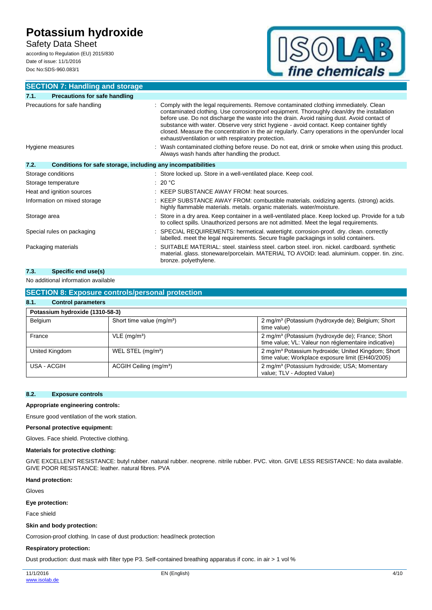Safety Data Sheet according to Regulation (EU) 2015/830

Date of issue: 11/1/2016 Doc No:SDS-960.083/1



#### **SECTION 7: Handling and storage 7.1. Precautions for safe handling** Precautions for safe handling **interpretately** : Comply with the legal requirements. Remove contaminated clothing immediately. Clean contaminated clothing. Use corrosionproof equipment. Thoroughly clean/dry the installation before use. Do not discharge the waste into the drain. Avoid raising dust. Avoid contact of substance with water. Observe very strict hygiene - avoid contact. Keep container tightly closed. Measure the concentration in the air regularly. Carry operations in the open/under local exhaust/ventilation or with respiratory protection. Hygiene measures **interpretatal in the Contaminated clothing before reuse**. Do not eat, drink or smoke when using this product. Always wash hands after handling the product. **7.2. Conditions for safe storage, including any incompatibilities** Storage conditions **Storage conditions** : Store locked up. Store in a well-ventilated place. Keep cool. Storage temperature : 20 °C Heat and ignition sources : KEEP SUBSTANCE AWAY FROM: heat sources. Information on mixed storage : KEEP SUBSTANCE AWAY FROM: combustible materials. oxidizing agents. (strong) acids. highly flammable materials. metals. organic materials. water/moisture. Storage area **interpretatal in a Store in a dry area.** Keep container in a well-ventilated place. Keep locked up. Provide for a tub to collect spills. Unauthorized persons are not admitted. Meet the legal requirements. Special rules on packaging : SPECIAL REQUIREMENTS: hermetical. watertight. corrosion-proof. dry. clean. correctly labelled. meet the legal requirements. Secure fragile packagings in solid containers. Packaging materials **included and SUITABLE MATERIAL:** steel. stainless steel. carbon steel. iron. nickel. cardboard. synthetic material. glass. stoneware/porcelain. MATERIAL TO AVOID: lead. aluminium. copper. tin. zinc. bronze. polyethylene.

#### **7.3. Specific end use(s)**

No additional information available

### **SECTION 8: Exposure controls/personal protection**

## **8.1. Control parameters**

| Potassium hydroxide (1310-58-3) |                                    |                                                                                                                      |  |
|---------------------------------|------------------------------------|----------------------------------------------------------------------------------------------------------------------|--|
| Belgium                         | Short time value $(mq/m3)$         | 2 mg/m <sup>3</sup> (Potassium (hydroxyde de); Belgium; Short<br>time value)                                         |  |
| France                          | $VLE$ (mg/m <sup>3</sup> )         | 2 mg/m <sup>3</sup> (Potassium (hydroxyde de); France; Short<br>time value; VL: Valeur non réglementaire indicative) |  |
| United Kingdom                  | WEL STEL $(mq/m3)$                 | 2 mg/m <sup>3</sup> Potassium hydroxide; United Kingdom; Short<br>time value; Workplace exposure limit (EH40/2005)   |  |
| USA - ACGIH                     | ACGIH Ceiling (mg/m <sup>3</sup> ) | 2 mg/m <sup>3</sup> (Potassium hydroxide; USA; Momentary<br>value; TLV - Adopted Value)                              |  |

### **8.2. Exposure controls**

**Appropriate engineering controls:**

Ensure good ventilation of the work station.

#### **Personal protective equipment:**

Gloves. Face shield. Protective clothing.

#### **Materials for protective clothing:**

GIVE EXCELLENT RESISTANCE: butyl rubber. natural rubber. neoprene. nitrile rubber. PVC. viton. GIVE LESS RESISTANCE: No data available. GIVE POOR RESISTANCE: leather. natural fibres. PVA

#### **Hand protection:**

Gloves

#### **Eye protection:**

Face shield

#### **Skin and body protection:**

Corrosion-proof clothing. In case of dust production: head/neck protection

#### **Respiratory protection:**

Dust production: dust mask with filter type P3. Self-contained breathing apparatus if conc. in air > 1 vol %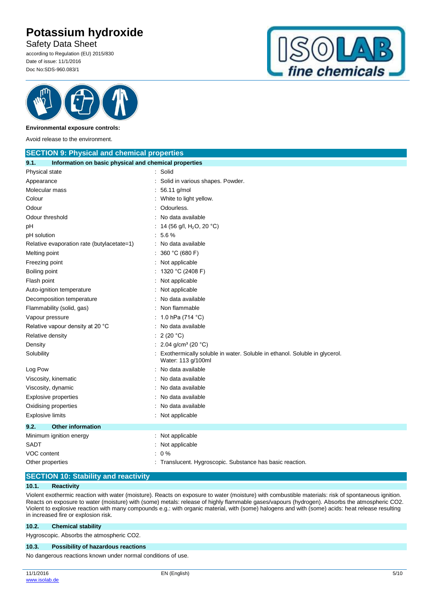Safety Data Sheet

according to Regulation (EU) 2015/830 Date of issue: 11/1/2016 Doc No:SDS-960.083/1





#### **Environmental exposure controls:**

Avoid release to the environment.

| <b>SECTION 9: Physical and chemical properties</b>            |                                                                                                 |  |
|---------------------------------------------------------------|-------------------------------------------------------------------------------------------------|--|
| 9.1.<br>Information on basic physical and chemical properties |                                                                                                 |  |
| Physical state                                                | : Solid                                                                                         |  |
| Appearance                                                    | Solid in various shapes. Powder.                                                                |  |
| Molecular mass                                                | 56.11 g/mol                                                                                     |  |
| Colour                                                        | White to light yellow.                                                                          |  |
| Odour                                                         | Odourless.                                                                                      |  |
| Odour threshold                                               | No data available                                                                               |  |
| рH                                                            | 14 (56 g/l, H <sub>2</sub> O, 20 °C)                                                            |  |
| pH solution                                                   | 5.6%                                                                                            |  |
| Relative evaporation rate (butylacetate=1)                    | : No data available                                                                             |  |
| Melting point                                                 | 360 °C (680 F)                                                                                  |  |
| Freezing point                                                | Not applicable                                                                                  |  |
| Boiling point                                                 | 1320 °C (2408 F)                                                                                |  |
| Flash point                                                   | Not applicable                                                                                  |  |
| Auto-ignition temperature                                     | Not applicable                                                                                  |  |
| Decomposition temperature                                     | No data available                                                                               |  |
| Flammability (solid, gas)                                     | Non flammable                                                                                   |  |
| Vapour pressure                                               | 1.0 hPa (714 °C)                                                                                |  |
| Relative vapour density at 20 °C                              | No data available                                                                               |  |
| Relative density                                              | 2(20 °C)                                                                                        |  |
| Density                                                       | : 2.04 g/cm <sup>3</sup> (20 °C)                                                                |  |
| Solubility                                                    | Exothermically soluble in water. Soluble in ethanol. Soluble in glycerol.<br>Water: 113 g/100ml |  |
| Log Pow                                                       | No data available                                                                               |  |
| Viscosity, kinematic                                          | No data available                                                                               |  |
| Viscosity, dynamic                                            | No data available                                                                               |  |
| <b>Explosive properties</b>                                   | No data available                                                                               |  |
| Oxidising properties                                          | No data available                                                                               |  |
| <b>Explosive limits</b>                                       | : Not applicable                                                                                |  |
| <b>Other information</b><br>9.2.                              |                                                                                                 |  |
| Minimum ignition energy                                       | : Not applicable                                                                                |  |
| SADT                                                          | Not applicable                                                                                  |  |
| VOC content                                                   | 0%                                                                                              |  |
| Other properties                                              | : Translucent. Hygroscopic. Substance has basic reaction.                                       |  |

### **SECTION 10: Stability and reactivity**

#### **10.1. Reactivity**

Violent exothermic reaction with water (moisture). Reacts on exposure to water (moisture) with combustible materials: risk of spontaneous ignition. Reacts on exposure to water (moisture) with (some) metals: release of highly flammable gases/vapours (hydrogen). Absorbs the atmospheric CO2. Violent to explosive reaction with many compounds e.g.: with organic material, with (some) halogens and with (some) acids: heat release resulting in increased fire or explosion risk.

#### **10.2. Chemical stability**

Hygroscopic. Absorbs the atmospheric CO2.

#### **10.3. Possibility of hazardous reactions**

No dangerous reactions known under normal conditions of use.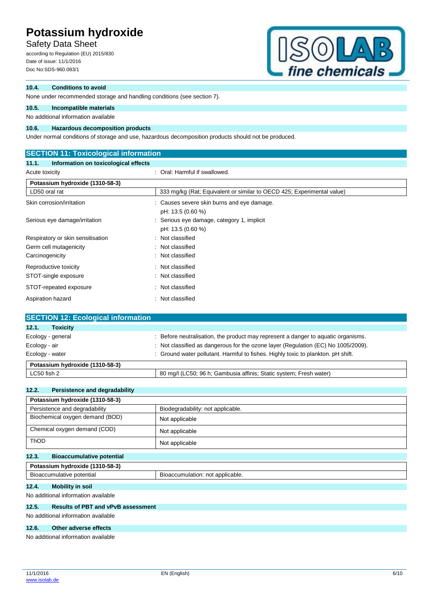Safety Data Sheet

according to Regulation (EU) 2015/830 Date of issue: 11/1/2016 Doc No:SDS-960.083/1



### **10.4. Conditions to avoid**

None under recommended storage and handling conditions (see section 7).

## **10.5. Incompatible materials**

No additional information available

#### **10.6. Hazardous decomposition products**

Under normal conditions of storage and use, hazardous decomposition products should not be produced.

### **SECTION 11: Toxicological information**

#### **11.1. Information on toxicological effects**

| Acute toxicity                    | : Oral: Harmful if swallowed.                                          |
|-----------------------------------|------------------------------------------------------------------------|
| Potassium hydroxide (1310-58-3)   |                                                                        |
| LD50 oral rat                     | 333 mg/kg (Rat; Equivalent or similar to OECD 425; Experimental value) |
| Skin corrosion/irritation         | : Causes severe skin burns and eye damage.<br>pH: 13.5 (0.60 %)        |
| Serious eye damage/irritation     | : Serious eye damage, category 1, implicit<br>pH: 13.5 (0.60 %)        |
| Respiratory or skin sensitisation | Not classified<br>÷                                                    |
| Germ cell mutagenicity            | : Not classified                                                       |
| Carcinogenicity                   | : Not classified                                                       |
| Reproductive toxicity             | : Not classified                                                       |
| STOT-single exposure              | : Not classified                                                       |
| STOT-repeated exposure            | : Not classified                                                       |
| Aspiration hazard<br>÷            | Not classified                                                         |

| <b>SECTION 12: Ecological information</b> |                                                                                   |
|-------------------------------------------|-----------------------------------------------------------------------------------|
| 12.1.<br><b>Toxicity</b>                  |                                                                                   |
| Ecology - general                         | : Before neutralisation, the product may represent a danger to aquatic organisms. |
| Ecology - air                             | : Not classified as dangerous for the ozone layer (Regulation (EC) No 1005/2009). |
| Ecology - water                           | : Ground water pollutant. Harmful to fishes. Highly toxic to plankton. pH shift.  |
| Potassium hydroxide (1310-58-3)           |                                                                                   |
| LC50 fish 2                               | 80 mg/l (LC50; 96 h; Gambusia affinis; Static system; Fresh water)                |

#### **12.2. Persistence and degradability**

| Potassium hydroxide (1310-58-3)           |                                   |  |
|-------------------------------------------|-----------------------------------|--|
| Persistence and degradability             | Biodegradability: not applicable. |  |
| Biochemical oxygen demand (BOD)           | Not applicable                    |  |
| Chemical oxygen demand (COD)              | Not applicable                    |  |
| <b>ThOD</b>                               | Not applicable                    |  |
| 12.3.<br><b>Bioaccumulative potential</b> |                                   |  |

## **Potassium hydroxide (1310-58-3)**

| potential<br><b>BIOACCUM</b><br>. nulative : | applicable.<br>.Jaccum<br>not<br>mulation.<br>510 |
|----------------------------------------------|---------------------------------------------------|
|                                              |                                                   |

## **12.4. Mobility in soil**

No additional information available

### **12.5. Results of PBT and vPvB assessment**

No additional information available

#### **12.6. Other adverse effects**

No additional information available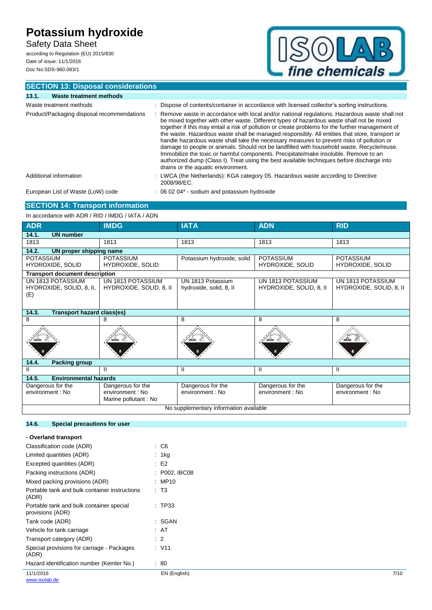Safety Data Sheet according to Regulation (EU) 2015/830

Date of issue: 11/1/2016 Doc No:SDS-960.083/1



## **SECTION 13: Disposal considerations**

| Waste treatment methods<br>13.1.           |                                                                                                                                                                                                                                                                                                                                                                                                                                                                                                                                                                                                                                                                                                                                                                                                                          |
|--------------------------------------------|--------------------------------------------------------------------------------------------------------------------------------------------------------------------------------------------------------------------------------------------------------------------------------------------------------------------------------------------------------------------------------------------------------------------------------------------------------------------------------------------------------------------------------------------------------------------------------------------------------------------------------------------------------------------------------------------------------------------------------------------------------------------------------------------------------------------------|
| Waste treatment methods                    | : Dispose of contents/container in accordance with licensed collector's sorting instructions.                                                                                                                                                                                                                                                                                                                                                                                                                                                                                                                                                                                                                                                                                                                            |
| Product/Packaging disposal recommendations | : Remove waste in accordance with local and/or national regulations. Hazardous waste shall not<br>be mixed together with other waste. Different types of hazardous waste shall not be mixed<br>together if this may entail a risk of pollution or create problems for the further management of<br>the waste. Hazardous waste shall be managed responsibly. All entities that store, transport or<br>handle hazardous waste shall take the necessary measures to prevent risks of pollution or<br>damage to people or animals. Should not be landfilled with household waste. Recycle/reuse.<br>Immobilize the toxic or harmful components. Precipitate/make insoluble. Remove to an<br>authorized dump (Class I). Treat using the best available techniques before discharge into<br>drains or the aquatic environment. |
| Additional information                     | : LWCA (the Netherlands): KGA category 05. Hazardous waste according to Directive<br>2008/98/EC.                                                                                                                                                                                                                                                                                                                                                                                                                                                                                                                                                                                                                                                                                                                         |
| European List of Waste (LoW) code          | $\therefore$ 06 02 04* - sodium and potassium hydroxide                                                                                                                                                                                                                                                                                                                                                                                                                                                                                                                                                                                                                                                                                                                                                                  |

### **SECTION 14: Transport information**

In accordance with ADR / RID / IMDG / IATA / ADN

| <b>ADR</b>                                           | <b>IMDG</b>                                                   | <b>IATA</b>                                  | <b>ADN</b>                                   | <b>RID</b>                                   |
|------------------------------------------------------|---------------------------------------------------------------|----------------------------------------------|----------------------------------------------|----------------------------------------------|
| <b>UN number</b><br>14.1.                            |                                                               |                                              |                                              |                                              |
| 1813                                                 | 1813                                                          | 1813                                         | 1813                                         | 1813                                         |
| 14.2.<br>UN proper shipping name                     |                                                               |                                              |                                              |                                              |
| <b>POTASSIUM</b><br>HYDROXIDE, SOLID                 | <b>POTASSIUM</b><br>HYDROXIDE, SOLID                          | Potassium hydroxide, solid                   | <b>POTASSIUM</b><br>HYDROXIDE, SOLID         | <b>POTASSIUM</b><br>HYDROXIDE, SOLID         |
| <b>Transport document description</b>                |                                                               |                                              |                                              |                                              |
| UN 1813 POTASSIUM<br>HYDROXIDE, SOLID, 8, II,<br>(E) | UN 1813 POTASSIUM<br>HYDROXIDE, SOLID, 8, II                  | UN 1813 Potassium<br>hydroxide, solid, 8, II | UN 1813 POTASSIUM<br>HYDROXIDE, SOLID, 8, II | UN 1813 POTASSIUM<br>HYDROXIDE, SOLID, 8, II |
| 14.3.<br><b>Transport hazard class(es)</b>           |                                                               |                                              |                                              |                                              |
| 8                                                    | 8                                                             | 8                                            | 8                                            | 8                                            |
|                                                      |                                                               |                                              |                                              |                                              |
| 14.4.<br><b>Packing group</b>                        |                                                               |                                              |                                              |                                              |
| $\mathbf{H}$                                         | Ш                                                             | Ш                                            | Ш                                            | Ш                                            |
| 14.5.<br><b>Environmental hazards</b>                |                                                               |                                              |                                              |                                              |
| Dangerous for the<br>environment : No                | Dangerous for the<br>environment : No<br>Marine pollutant: No | Dangerous for the<br>environment : No        | Dangerous for the<br>environment : No        | Dangerous for the<br>environment : No        |
| No supplementary information available               |                                                               |                                              |                                              |                                              |

### **14.6. Special precautions for user**

| - Overland transport                                         |                 |      |
|--------------------------------------------------------------|-----------------|------|
| Classification code (ADR)                                    | $\cdot$ C6      |      |
| Limited quantities (ADR)                                     | : $1kg$         |      |
| Excepted quantities (ADR)                                    | E2              |      |
| Packing instructions (ADR)                                   | : P002, IBC08   |      |
| Mixed packing provisions (ADR)                               | : MP10          |      |
| Portable tank and bulk container instructions<br>(ADR)       | $\mathsf{T}3$   |      |
| Portable tank and bulk container special<br>provisions (ADR) | : TP33          |      |
| Tank code (ADR)                                              | : SGAN          |      |
| Vehicle for tank carriage                                    | : AT            |      |
| Transport category (ADR)                                     | $\therefore$ 2  |      |
| Special provisions for carriage - Packages<br>(ADR)          | : V11           |      |
| Hazard identification number (Kemler No.)                    | $\therefore 80$ |      |
| 11/1/2016<br>www.isolab.de                                   | EN (English)    | 7/10 |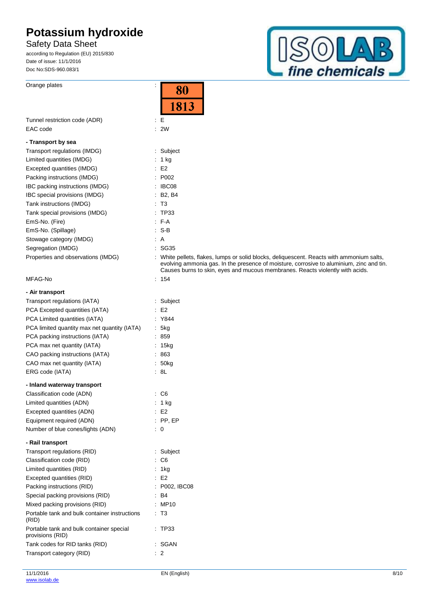Orange plates in the contract of the contract of the contract of the contract of the contract of the contract of the contract of the contract of the contract of the contract of the contract of the contract of the contract

Safety Data Sheet according to Regulation (EU) 2015/830

Date of issue: 11/1/2016 Doc No:SDS-960.083/1



|                                                              | 8Ū                                                                                                                                                                                                                                                                     |
|--------------------------------------------------------------|------------------------------------------------------------------------------------------------------------------------------------------------------------------------------------------------------------------------------------------------------------------------|
|                                                              | 1813                                                                                                                                                                                                                                                                   |
|                                                              |                                                                                                                                                                                                                                                                        |
| Tunnel restriction code (ADR)                                | $\mathbf{E}$                                                                                                                                                                                                                                                           |
| EAC code                                                     | $\therefore$ 2W                                                                                                                                                                                                                                                        |
| - Transport by sea                                           |                                                                                                                                                                                                                                                                        |
| Transport regulations (IMDG)                                 | : Subject                                                                                                                                                                                                                                                              |
| Limited quantities (IMDG)                                    | : $1 \text{ kg}$                                                                                                                                                                                                                                                       |
| Excepted quantities (IMDG)                                   | E2                                                                                                                                                                                                                                                                     |
| Packing instructions (IMDG)                                  | : P002                                                                                                                                                                                                                                                                 |
| IBC packing instructions (IMDG)                              | : IBC08                                                                                                                                                                                                                                                                |
| IBC special provisions (IMDG)                                | : B2, B4                                                                                                                                                                                                                                                               |
| Tank instructions (IMDG)                                     | : T3                                                                                                                                                                                                                                                                   |
| Tank special provisions (IMDG)                               | : TP33                                                                                                                                                                                                                                                                 |
| EmS-No. (Fire)                                               | $F - A$                                                                                                                                                                                                                                                                |
| EmS-No. (Spillage)                                           | $: S-B$                                                                                                                                                                                                                                                                |
| Stowage category (IMDG)                                      | : A                                                                                                                                                                                                                                                                    |
| Segregation (IMDG)                                           | : SG35                                                                                                                                                                                                                                                                 |
| Properties and observations (IMDG)                           | : White pellets, flakes, lumps or solid blocks, deliquescent. Reacts with ammonium salts,<br>evolving ammonia gas. In the presence of moisture, corrosive to aluminium, zinc and tin.<br>Causes burns to skin, eyes and mucous membranes. Reacts violently with acids. |
| MFAG-No                                                      | : 154                                                                                                                                                                                                                                                                  |
| - Air transport                                              |                                                                                                                                                                                                                                                                        |
| Transport regulations (IATA)                                 | : Subject                                                                                                                                                                                                                                                              |
| PCA Excepted quantities (IATA)                               | E2                                                                                                                                                                                                                                                                     |
| PCA Limited quantities (IATA)                                | : Y844                                                                                                                                                                                                                                                                 |
| PCA limited quantity max net quantity (IATA)                 | 5kg                                                                                                                                                                                                                                                                    |
| PCA packing instructions (IATA)                              | : 859                                                                                                                                                                                                                                                                  |
| PCA max net quantity (IATA)                                  | : 15kg                                                                                                                                                                                                                                                                 |
| CAO packing instructions (IATA)                              | .863                                                                                                                                                                                                                                                                   |
| CAO max net quantity (IATA)                                  | : 50kg                                                                                                                                                                                                                                                                 |
| ERG code (IATA)                                              | : 8L                                                                                                                                                                                                                                                                   |
| - Inland waterway transport                                  |                                                                                                                                                                                                                                                                        |
| Classification code (ADN)                                    | $\therefore$ C6                                                                                                                                                                                                                                                        |
| Limited quantities (ADN)                                     | : 1 kg                                                                                                                                                                                                                                                                 |
| Excepted quantities (ADN)                                    | E2                                                                                                                                                                                                                                                                     |
| Equipment required (ADN)                                     | $:$ PP, EP                                                                                                                                                                                                                                                             |
| Number of blue cones/lights (ADN)                            | $\therefore$ 0                                                                                                                                                                                                                                                         |
| - Rail transport                                             |                                                                                                                                                                                                                                                                        |
| Transport regulations (RID)                                  | : Subject                                                                                                                                                                                                                                                              |
| Classification code (RID)                                    | : C6                                                                                                                                                                                                                                                                   |
| Limited quantities (RID)                                     | : 1kg                                                                                                                                                                                                                                                                  |
| Excepted quantities (RID)                                    | : E2                                                                                                                                                                                                                                                                   |
| Packing instructions (RID)                                   | : P002, IBC08                                                                                                                                                                                                                                                          |
| Special packing provisions (RID)                             | :B4                                                                                                                                                                                                                                                                    |
| Mixed packing provisions (RID)                               | : MP10                                                                                                                                                                                                                                                                 |
| Portable tank and bulk container instructions<br>(RID)       | : T3                                                                                                                                                                                                                                                                   |
| Portable tank and bulk container special<br>provisions (RID) | : TP33                                                                                                                                                                                                                                                                 |
| Tank codes for RID tanks (RID)                               | : SGAN                                                                                                                                                                                                                                                                 |
| Transport category (RID)                                     | $\therefore$ 2                                                                                                                                                                                                                                                         |

T,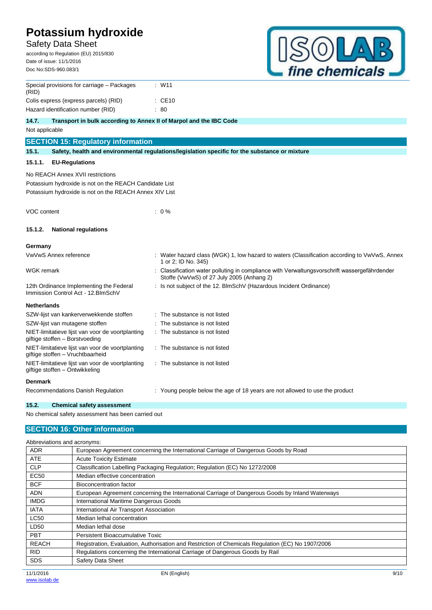## Safety Data Sheet

according to Regulation (EU) 2015/830 Date of issue: 11/1/2016 Doc No:SDS-960.083/1



| Special provisions for carriage - Packages<br>(RID)                                        | : W11                                                                                                                                   |
|--------------------------------------------------------------------------------------------|-----------------------------------------------------------------------------------------------------------------------------------------|
| Colis express (express parcels) (RID)                                                      | $\therefore$ CE10                                                                                                                       |
| Hazard identification number (RID)                                                         | : 80                                                                                                                                    |
| 14.7.<br>Transport in bulk according to Annex II of Marpol and the IBC Code                |                                                                                                                                         |
| Not applicable                                                                             |                                                                                                                                         |
| <b>SECTION 15: Regulatory information</b>                                                  |                                                                                                                                         |
| 15.1.                                                                                      | Safety, health and environmental requlations/legislation specific for the substance or mixture                                          |
| 15.1.1.<br><b>EU-Regulations</b>                                                           |                                                                                                                                         |
| No REACH Annex XVII restrictions<br>Potassium hydroxide is not on the REACH Candidate List |                                                                                                                                         |
| Potassium hydroxide is not on the REACH Annex XIV List                                     |                                                                                                                                         |
| VOC content                                                                                | $: 0\%$                                                                                                                                 |
| <b>National regulations</b><br>15.1.2.                                                     |                                                                                                                                         |
| Germany                                                                                    |                                                                                                                                         |
| VwVwS Annex reference                                                                      | : Water hazard class (WGK) 1, low hazard to waters (Classification according to VwVwS, Annex<br>1 or 2; ID No. 345)                     |
| <b>WGK</b> remark                                                                          | Classification water polluting in compliance with Verwaltungsvorschrift wassergefährdender<br>Stoffe (VwVwS) of 27 July 2005 (Anhang 2) |
| 12th Ordinance Implementing the Federal<br>Immission Control Act - 12. BlmSchV             | : Is not subject of the 12. BImSchV (Hazardous Incident Ordinance)                                                                      |
| <b>Netherlands</b>                                                                         |                                                                                                                                         |
| SZW-lijst van kankerverwekkende stoffen                                                    | The substance is not listed                                                                                                             |
| SZW-lijst van mutagene stoffen                                                             | The substance is not listed                                                                                                             |
| NIET-limitatieve lijst van voor de voortplanting<br>giftige stoffen - Borstvoeding         | The substance is not listed                                                                                                             |
| NIET-limitatieve lijst van voor de voortplanting<br>giftige stoffen - Vruchtbaarheid       | : The substance is not listed                                                                                                           |
| NIET-limitatieve lijst van voor de voortplanting<br>giftige stoffen - Ontwikkeling         | : The substance is not listed                                                                                                           |
| <b>Denmark</b>                                                                             |                                                                                                                                         |
| Recommendations Danish Regulation                                                          | : Young people below the age of 18 years are not allowed to use the product                                                             |

**15.2. Chemical safety assessment** No chemical safety assessment has been carried out

# **SECTION 16: Other information**

| Abbreviations and acronyms: |                                                                                                   |
|-----------------------------|---------------------------------------------------------------------------------------------------|
| <b>ADR</b>                  | European Agreement concerning the International Carriage of Dangerous Goods by Road               |
| <b>ATE</b>                  | <b>Acute Toxicity Estimate</b>                                                                    |
| <b>CLP</b>                  | Classification Labelling Packaging Regulation; Regulation (EC) No 1272/2008                       |
| <b>EC50</b>                 | Median effective concentration                                                                    |
| <b>BCF</b>                  | Bioconcentration factor                                                                           |
| <b>ADN</b>                  | European Agreement concerning the International Carriage of Dangerous Goods by Inland Waterways   |
| <b>IMDG</b>                 | International Maritime Dangerous Goods                                                            |
| <b>IATA</b>                 | International Air Transport Association                                                           |
| <b>LC50</b>                 | Median lethal concentration                                                                       |
| LD50                        | Median lethal dose                                                                                |
| <b>PBT</b>                  | Persistent Bioaccumulative Toxic                                                                  |
| <b>REACH</b>                | Registration, Evaluation, Authorisation and Restriction of Chemicals Regulation (EC) No 1907/2006 |
| <b>RID</b>                  | Regulations concerning the International Carriage of Dangerous Goods by Rail                      |
| <b>SDS</b>                  | Safety Data Sheet                                                                                 |